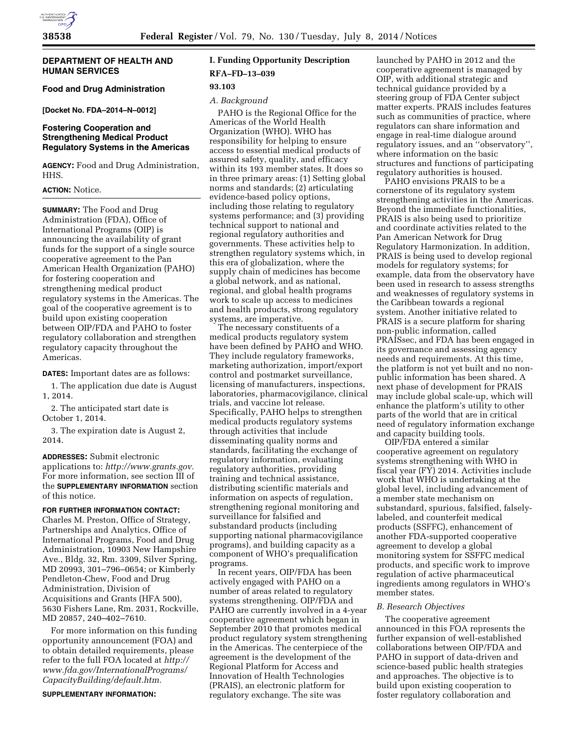

# **DEPARTMENT OF HEALTH AND HUMAN SERVICES**

**Food and Drug Administration** 

**[Docket No. FDA–2014–N–0012]** 

# **Fostering Cooperation and Strengthening Medical Product Regulatory Systems in the Americas**

**AGENCY:** Food and Drug Administration, HHS.

# **ACTION:** Notice.

**SUMMARY:** The Food and Drug Administration (FDA), Office of International Programs (OIP) is announcing the availability of grant funds for the support of a single source cooperative agreement to the Pan American Health Organization (PAHO) for fostering cooperation and strengthening medical product regulatory systems in the Americas. The goal of the cooperative agreement is to build upon existing cooperation between OIP/FDA and PAHO to foster regulatory collaboration and strengthen regulatory capacity throughout the Americas.

**DATES:** Important dates are as follows:

1. The application due date is August 1, 2014.

2. The anticipated start date is October 1, 2014.

3. The expiration date is August 2, 2014.

**ADDRESSES:** Submit electronic applications to: *[http://www.grants.gov.](http://www.grants.gov)*  For more information, see section III of the **SUPPLEMENTARY INFORMATION** section of this notice.

### **FOR FURTHER INFORMATION CONTACT:**

Charles M. Preston, Office of Strategy, Partnerships and Analytics, Office of International Programs, Food and Drug Administration, 10903 New Hampshire Ave., Bldg. 32, Rm. 3309, Silver Spring, MD 20993, 301–796–0654; or Kimberly Pendleton-Chew, Food and Drug Administration, Division of Acquisitions and Grants (HFA 500), 5630 Fishers Lane, Rm. 2031, Rockville, MD 20857, 240–402–7610.

For more information on this funding opportunity announcement (FOA) and to obtain detailed requirements, please refer to the full FOA located at *[http://](http://www.fda.gov/InternationalPrograms/CapacityBuilding/default.htm) [www.fda.gov/InternationalPrograms/](http://www.fda.gov/InternationalPrograms/CapacityBuilding/default.htm) [CapacityBuilding/default.htm.](http://www.fda.gov/InternationalPrograms/CapacityBuilding/default.htm)* 

#### **SUPPLEMENTARY INFORMATION:**

# **I. Funding Opportunity Description RFA–FD–13–039**

### **93.103**

### *A. Background*

PAHO is the Regional Office for the Americas of the World Health Organization (WHO). WHO has responsibility for helping to ensure access to essential medical products of assured safety, quality, and efficacy within its 193 member states. It does so in three primary areas: (1) Setting global norms and standards; (2) articulating evidence-based policy options, including those relating to regulatory systems performance; and (3) providing technical support to national and regional regulatory authorities and governments. These activities help to strengthen regulatory systems which, in this era of globalization, where the supply chain of medicines has become a global network, and as national, regional, and global health programs work to scale up access to medicines and health products, strong regulatory systems, are imperative.

The necessary constituents of a medical products regulatory system have been defined by PAHO and WHO. They include regulatory frameworks, marketing authorization, import/export control and postmarket surveillance, licensing of manufacturers, inspections, laboratories, pharmacovigilance, clinical trials, and vaccine lot release. Specifically, PAHO helps to strengthen medical products regulatory systems through activities that include disseminating quality norms and standards, facilitating the exchange of regulatory information, evaluating regulatory authorities, providing training and technical assistance, distributing scientific materials and information on aspects of regulation, strengthening regional monitoring and surveillance for falsified and substandard products (including supporting national pharmacovigilance programs), and building capacity as a component of WHO's prequalification programs.

In recent years, OIP/FDA has been actively engaged with PAHO on a number of areas related to regulatory systems strengthening. OIP/FDA and PAHO are currently involved in a 4-year cooperative agreement which began in September 2010 that promotes medical product regulatory system strengthening in the Americas. The centerpiece of the agreement is the development of the Regional Platform for Access and Innovation of Health Technologies (PRAIS), an electronic platform for regulatory exchange. The site was

launched by PAHO in 2012 and the cooperative agreement is managed by OIP, with additional strategic and technical guidance provided by a steering group of FDA Center subject matter experts. PRAIS includes features such as communities of practice, where regulators can share information and engage in real-time dialogue around regulatory issues, and an ''observatory'', where information on the basic structures and functions of participating regulatory authorities is housed.

PAHO envisions PRAIS to be a cornerstone of its regulatory system strengthening activities in the Americas. Beyond the immediate functionalities, PRAIS is also being used to prioritize and coordinate activities related to the Pan American Network for Drug Regulatory Harmonization. In addition, PRAIS is being used to develop regional models for regulatory systems; for example, data from the observatory have been used in research to assess strengths and weaknesses of regulatory systems in the Caribbean towards a regional system. Another initiative related to PRAIS is a secure platform for sharing non-public information, called PRAISsec, and FDA has been engaged in its governance and assessing agency needs and requirements. At this time, the platform is not yet built and no nonpublic information has been shared. A next phase of development for PRAIS may include global scale-up, which will enhance the platform's utility to other parts of the world that are in critical need of regulatory information exchange and capacity building tools.

OIP/FDA entered a similar cooperative agreement on regulatory systems strengthening with WHO in fiscal year (FY) 2014. Activities include work that WHO is undertaking at the global level, including advancement of a member state mechanism on substandard, spurious, falsified, falselylabeled, and counterfeit medical products (SSFFC), enhancement of another FDA-supported cooperative agreement to develop a global monitoring system for SSFFC medical products, and specific work to improve regulation of active pharmaceutical ingredients among regulators in WHO's member states.

# *B. Research Objectives*

The cooperative agreement announced in this FOA represents the further expansion of well-established collaborations between OIP/FDA and PAHO in support of data-driven and science-based public health strategies and approaches. The objective is to build upon existing cooperation to foster regulatory collaboration and